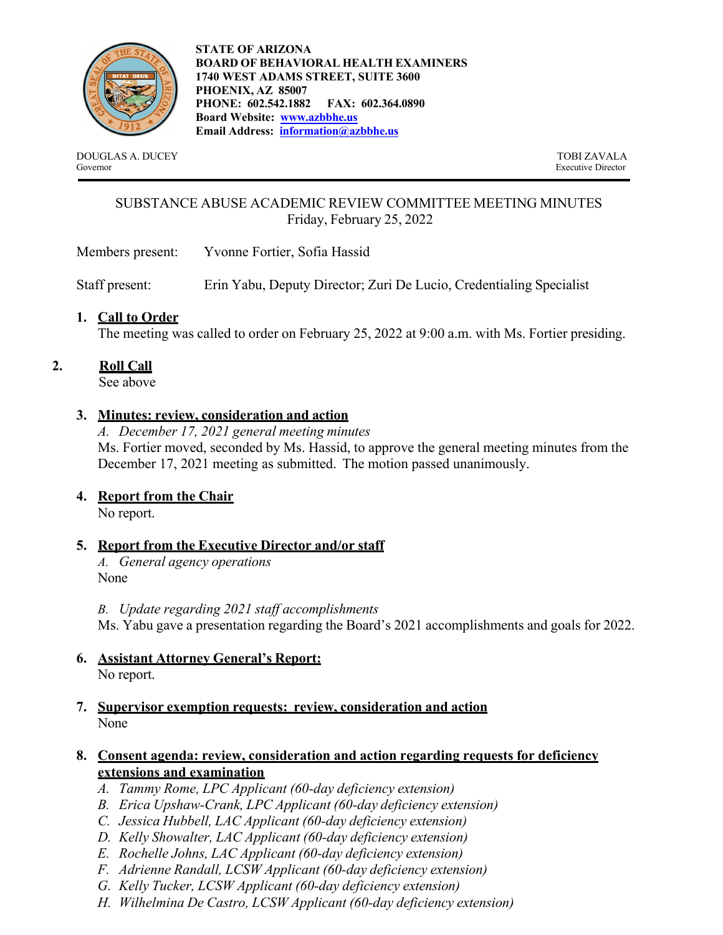

**STATE OF ARIZONA BOARD OF BEHAVIORAL HEALTH EXAMINERS 1740 WEST ADAMS STREET, SUITE 3600 PHOENIX, AZ 85007 PHONE: 602.542.1882 FAX: 602.364.0890 Board Website: www.azbbhe.us Email Address: information@azbbhe.us**

DOUGLAS A. DUCEY TOBI ZAVALA Governor Executive Director

# SUBSTANCE ABUSE ACADEMIC REVIEW COMMITTEE MEETING MINUTES Friday, February 25, 2022

Members present: Yvonne Fortier, Sofia Hassid

Staff present: Erin Yabu, Deputy Director; Zuri De Lucio, Credentialing Specialist

# **1. Call to Order**

The meeting was called to order on February 25, 2022 at 9:00 a.m. with Ms. Fortier presiding.

## **2. Roll Call**

See above

## **3. Minutes: review, consideration and action**

*A. December 17, 2021 general meeting minutes*  Ms. Fortier moved, seconded by Ms. Hassid, to approve the general meeting minutes from the December 17, 2021 meeting as submitted. The motion passed unanimously.

## **4. Report from the Chair**

No report.

## **5. Report from the Executive Director and/or staff**

*A. General agency operations* None

*B. Update regarding 2021 staff accomplishments*

Ms. Yabu gave a presentation regarding the Board's 2021 accomplishments and goals for 2022.

#### **6. Assistant Attorney General's Report:**  No report.

## **7. Supervisor exemption requests: review, consideration and action**  None

# **8. Consent agenda: review, consideration and action regarding requests for deficiency extensions and examination**

- *A. Tammy Rome, LPC Applicant (60-day deficiency extension)*
- *B. Erica Upshaw-Crank, LPC Applicant (60-day deficiency extension)*
- *C. Jessica Hubbell, LAC Applicant (60-day deficiency extension)*
- *D. Kelly Showalter, LAC Applicant (60-day deficiency extension)*
- *E. Rochelle Johns, LAC Applicant (60-day deficiency extension)*
- *F. Adrienne Randall, LCSW Applicant (60-day deficiency extension)*
- *G. Kelly Tucker, LCSW Applicant (60-day deficiency extension)*
- *H. Wilhelmina De Castro, LCSW Applicant (60-day deficiency extension)*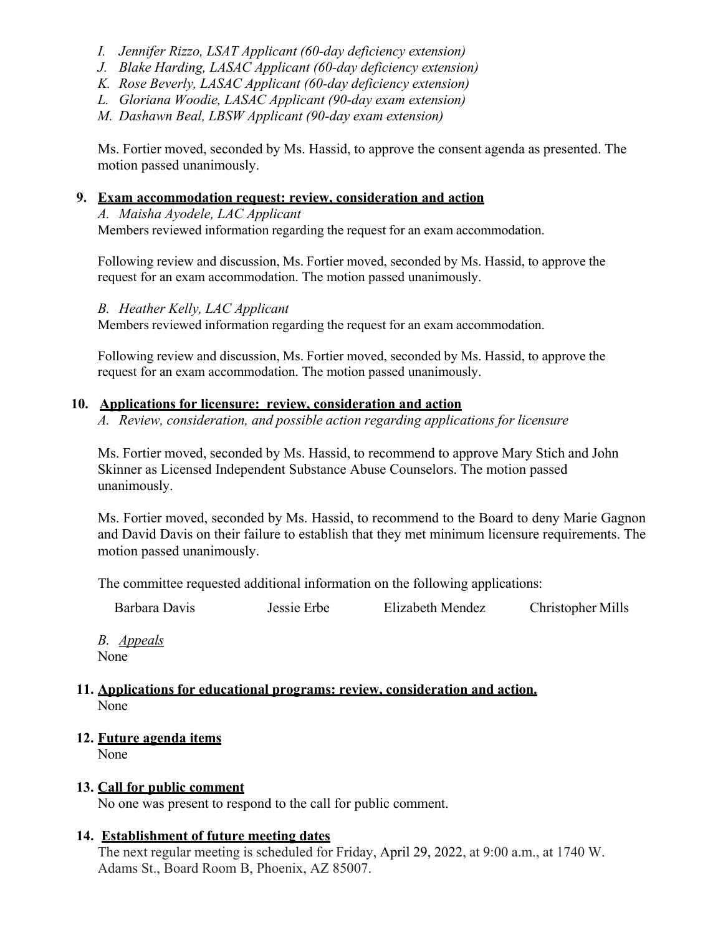- *I. Jennifer Rizzo, LSAT Applicant (60-day deficiency extension)*
- *J. Blake Harding, LASAC Applicant (60-day deficiency extension)*
- *K. Rose Beverly, LASAC Applicant (60-day deficiency extension)*
- *L. Gloriana Woodie, LASAC Applicant (90-day exam extension)*

*M. Dashawn Beal, LBSW Applicant (90-day exam extension)* 

Ms. Fortier moved, seconded by Ms. Hassid, to approve the consent agenda as presented. The motion passed unanimously.

#### **9. Exam accommodation request: review, consideration and action**

*A. Maisha Ayodele, LAC Applicant*  Members reviewed information regarding the request for an exam accommodation.

Following review and discussion, Ms. Fortier moved, seconded by Ms. Hassid, to approve the request for an exam accommodation. The motion passed unanimously.

#### *B. Heather Kelly, LAC Applicant*

Members reviewed information regarding the request for an exam accommodation.

Following review and discussion, Ms. Fortier moved, seconded by Ms. Hassid, to approve the request for an exam accommodation. The motion passed unanimously.

## **10. Applications for licensure: review, consideration and action**

*A. Review, consideration, and possible action regarding applications for licensure* 

Ms. Fortier moved, seconded by Ms. Hassid, to recommend to approve Mary Stich and John Skinner as Licensed Independent Substance Abuse Counselors. The motion passed unanimously.

Ms. Fortier moved, seconded by Ms. Hassid, to recommend to the Board to deny Marie Gagnon and David Davis on their failure to establish that they met minimum licensure requirements. The motion passed unanimously.

The committee requested additional information on the following applications:

Barbara Davis Jessie Erbe Elizabeth Mendez Christopher Mills

*B. Appeals*  None

#### **11. Applications for educational programs: review, consideration and action.**  None

**12. Future agenda items**  None

# **13. Call for public comment**

No one was present to respond to the call for public comment.

#### **14. Establishment of future meeting dates**

The next regular meeting is scheduled for Friday, April 29, 2022, at 9:00 a.m., at 1740 W. Adams St., Board Room B, Phoenix, AZ 85007.